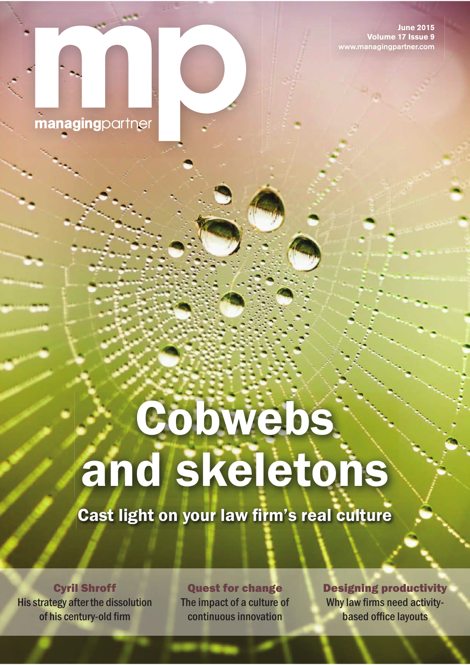**June 2015 Volume 17 Issue 9** www.managingpartner.com



# **Cobwebs** and skeletons

Cast light on your law firm's real culture

Cyril Shroff His strategy after the dissolution of his century-old firm

Quest for change The impact of a culture of continuous innovation

Designing productivity Why law firms need activitybased office layouts